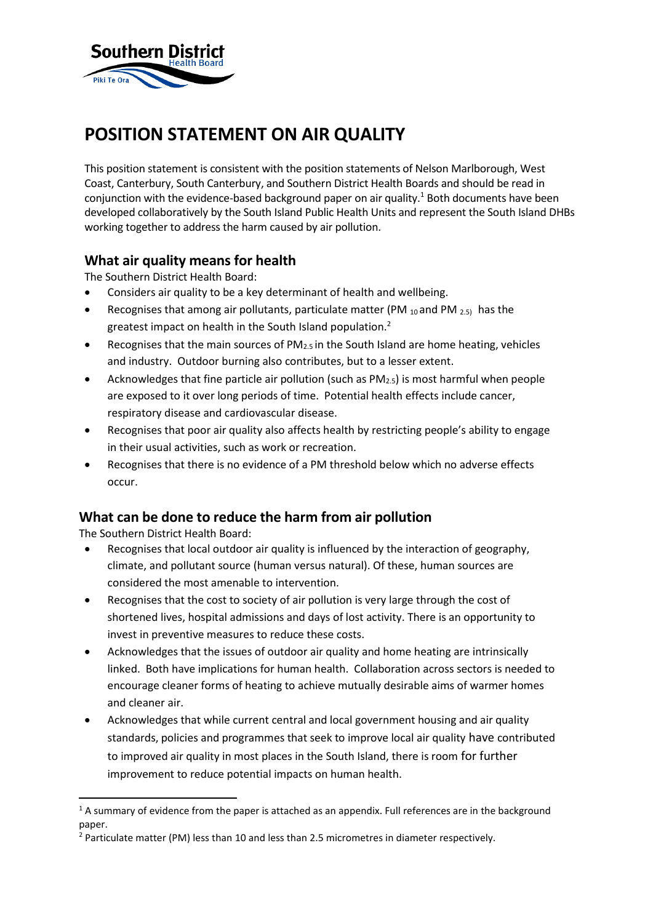

# **POSITION STATEMENT ON AIR QUALITY**

This position statement is consistent with the position statements of Nelson Marlborough, West Coast, Canterbury, South Canterbury, and Southern District Health Boards and should be read in conjunction with the evidence-based background paper on air quality.<sup>1</sup> Both documents have been developed collaboratively by the South Island Public Health Units and represent the South Island DHBs working together to address the harm caused by air pollution.

### **What air quality means for health**

The Southern District Health Board:

- Considers air quality to be a key determinant of health and wellbeing.
- **•** Recognises that among air pollutants, particulate matter (PM  $_{10}$  and PM  $_{2.5}$ ) has the greatest impact on health in the South Island population.<sup>2</sup>
- Recognises that the main sources of  $PM_{2.5}$  in the South Island are home heating, vehicles and industry. Outdoor burning also contributes, but to a lesser extent.
- Acknowledges that fine particle air pollution (such as  $PM_{2.5}$ ) is most harmful when people are exposed to it over long periods of time. Potential health effects include cancer, respiratory disease and cardiovascular disease.
- Recognises that poor air quality also affects health by restricting people's ability to engage in their usual activities, such as work or recreation.
- Recognises that there is no evidence of a PM threshold below which no adverse effects occur.

### **What can be done to reduce the harm from air pollution**

The Southern District Health Board:

**.** 

- Recognises that local outdoor air quality is influenced by the interaction of geography, climate, and pollutant source (human versus natural). Of these, human sources are considered the most amenable to intervention.
- Recognises that the cost to society of air pollution is very large through the cost of shortened lives, hospital admissions and days of lost activity. There is an opportunity to invest in preventive measures to reduce these costs.
- Acknowledges that the issues of outdoor air quality and home heating are intrinsically linked. Both have implications for human health. Collaboration across sectors is needed to encourage cleaner forms of heating to achieve mutually desirable aims of warmer homes and cleaner air.
- Acknowledges that while current central and local government housing and air quality standards, policies and programmes that seek to improve local air quality have contributed to improved air quality in most places in the South Island, there is room for further improvement to reduce potential impacts on human health.

 $1A$  summary of evidence from the paper is attached as an appendix. Full references are in the background paper.

<sup>&</sup>lt;sup>2</sup> Particulate matter (PM) less than 10 and less than 2.5 micrometres in diameter respectively.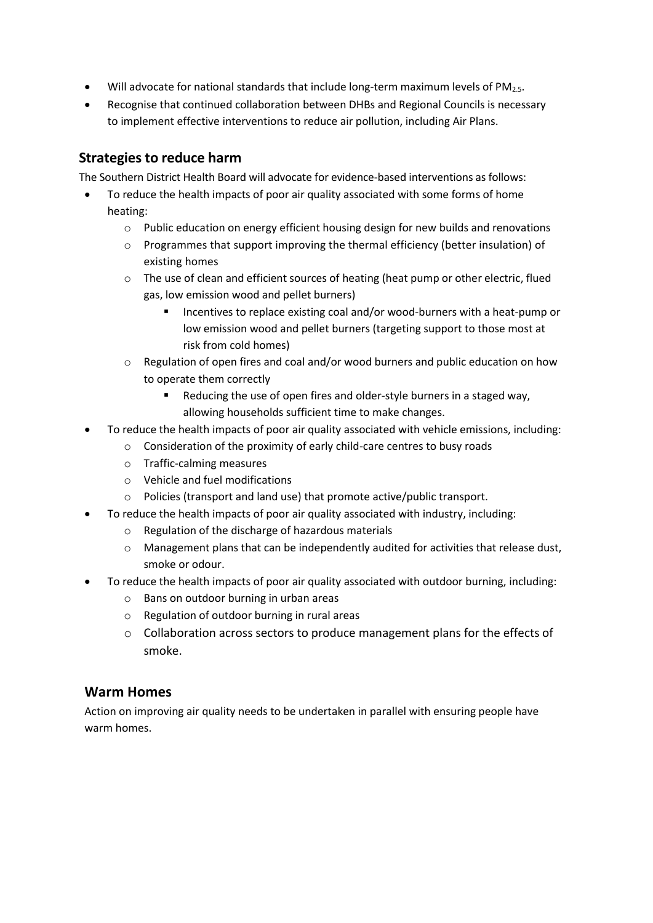- Will advocate for national standards that include long-term maximum levels of PM<sub>2.5</sub>.
- Recognise that continued collaboration between DHBs and Regional Councils is necessary to implement effective interventions to reduce air pollution, including Air Plans.

## **Strategies to reduce harm**

The Southern District Health Board will advocate for evidence-based interventions as follows:

- To reduce the health impacts of poor air quality associated with some forms of home heating:
	- o Public education on energy efficient housing design for new builds and renovations
	- $\circ$  Programmes that support improving the thermal efficiency (better insulation) of existing homes
	- $\circ$  The use of clean and efficient sources of heating (heat pump or other electric, flued gas, low emission wood and pellet burners)
		- Incentives to replace existing coal and/or wood-burners with a heat-pump or low emission wood and pellet burners (targeting support to those most at risk from cold homes)
	- $\circ$  Regulation of open fires and coal and/or wood burners and public education on how to operate them correctly
		- Reducing the use of open fires and older-style burners in a staged way, allowing households sufficient time to make changes.
- To reduce the health impacts of poor air quality associated with vehicle emissions, including:
	- o Consideration of the proximity of early child-care centres to busy roads
	- o Traffic-calming measures
	- o Vehicle and fuel modifications
	- o Policies (transport and land use) that promote active/public transport.
- To reduce the health impacts of poor air quality associated with industry, including:
	- o Regulation of the discharge of hazardous materials
	- $\circ$  Management plans that can be independently audited for activities that release dust, smoke or odour.
- To reduce the health impacts of poor air quality associated with outdoor burning, including:
	- o Bans on outdoor burning in urban areas
	- o Regulation of outdoor burning in rural areas
	- $\circ$  Collaboration across sectors to produce management plans for the effects of smoke.

#### **Warm Homes**

Action on improving air quality needs to be undertaken in parallel with ensuring people have warm homes.